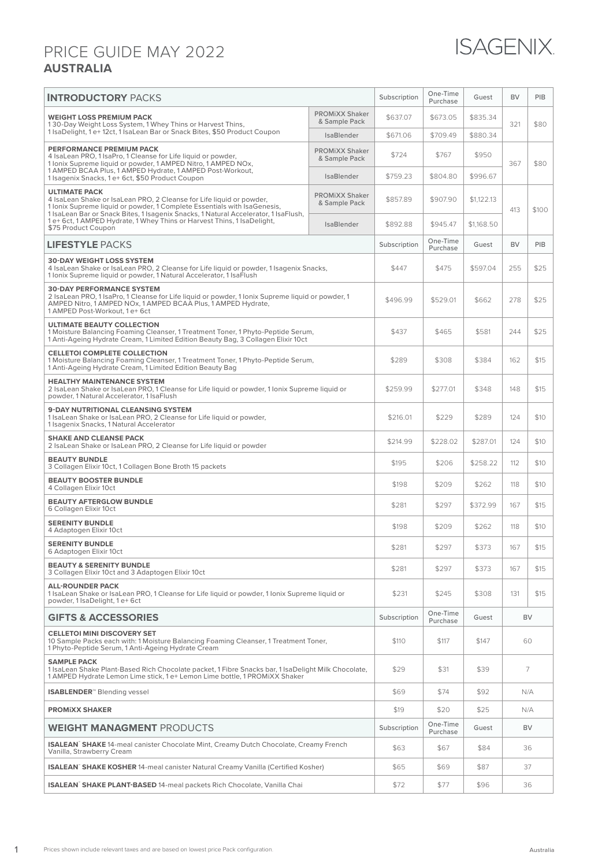## PRICE GUIDE MAY 2022 **AUSTRALIA**

| <b>INTRODUCTORY PACKS</b>                                                                                                                                                                                                                                                   |                                        | Subscription | One-Time<br>Purchase | Guest      | <b>BV</b> | PIB   |
|-----------------------------------------------------------------------------------------------------------------------------------------------------------------------------------------------------------------------------------------------------------------------------|----------------------------------------|--------------|----------------------|------------|-----------|-------|
| <b>WEIGHT LOSS PREMIUM PACK</b><br>130-Day Weight Loss System, 1 Whey Thins or Harvest Thins,<br>1 IsaDelight, 1 e+12ct, 1 IsaLean Bar or Snack Bites, \$50 Product Coupon                                                                                                  | <b>PROMIXX Shaker</b><br>& Sample Pack | \$637.07     | \$673.05             | \$835.34   | 321       | \$80  |
|                                                                                                                                                                                                                                                                             | <b>IsaBlender</b>                      | \$671.06     | \$709.49             | \$880.34   |           |       |
| PERFORMANCE PREMIUM PACK<br>4 IsaLean PRO, 1 IsaPro, 1 Cleanse for Life liquid or powder,<br>1 Ionix Supreme liquid or powder, 1 AMPED Nitro, 1 AMPED NOx,<br>1 AMPED BCAA Plus, 1 AMPED Hydrate, 1 AMPED Post-Workout,<br>1 Isagenix Snacks, 1 e+ 6ct, \$50 Product Coupon | <b>PROMIXX Shaker</b><br>& Sample Pack | \$724        | \$767                | \$950      | 367       | \$80  |
|                                                                                                                                                                                                                                                                             | <b>IsaBlender</b>                      | \$759.23     | \$804.80             | \$996.67   |           |       |
| <b>ULTIMATE PACK</b><br>4 IsaLean Shake or IsaLean PRO, 2 Cleanse for Life liquid or powder.<br>1 Ionix Supreme liquid or powder, 1 Complete Essentials with IsaGenesis,<br>1 IsaLean Bar or Snack Bites, 1 Isagenix Snacks, 1 Natural Accelerator, 1 IsaFlush,             | <b>PROMIXX Shaker</b><br>& Sample Pack | \$857.89     | \$907.90             | \$1,122.13 | 413       | \$100 |
| 1 e+ 6ct, 1 AMPED Hydrate, 1 Whey Thins or Harvest Thins, 1 IsaDelight,<br>\$75 Product Coupon                                                                                                                                                                              | IsaBlender                             | \$892.88     | \$945.47             | \$1.168.50 |           |       |
| <b>LIFESTYLE PACKS</b>                                                                                                                                                                                                                                                      |                                        | Subscription | One-Time<br>Purchase | Guest      | <b>BV</b> | PIB   |
| <b>30-DAY WEIGHT LOSS SYSTEM</b><br>4 IsaLean Shake or IsaLean PRO, 2 Cleanse for Life liquid or powder, 1 Isagenix Snacks,<br>1 Ionix Supreme liquid or powder, 1 Natural Accelerator, 1 IsaFlush                                                                          |                                        | \$447        | \$475                | \$597.04   | 255       | \$25  |
| <b>30-DAY PERFORMANCE SYSTEM</b><br>2 IsaLean PRO, 1 IsaPro, 1 Cleanse for Life liquid or powder, 1 Ionix Supreme liquid or powder, 1<br>AMPED Nitro, 1 AMPED NOx, 1 AMPED BCAA Plus, 1 AMPED Hydrate,<br>1 AMPED Post-Workout, 1 e+ 6ct                                    |                                        | \$496.99     | \$529.01             | \$662      | 278       | \$25  |
| <b>ULTIMATE BEAUTY COLLECTION</b><br>1 Moisture Balancing Foaming Cleanser, 1 Treatment Toner, 1 Phyto-Peptide Serum,<br>1 Anti-Ageing Hydrate Cream, 1 Limited Edition Beauty Bag, 3 Collagen Elixir 10ct                                                                  |                                        | \$437        | \$465                | \$581      | 244       | \$25  |
| <b>CELLETOI COMPLETE COLLECTION</b><br>1 Moisture Balancing Foaming Cleanser, 1 Treatment Toner, 1 Phyto-Peptide Serum,<br>1 Anti-Ageing Hydrate Cream, 1 Limited Edition Beauty Bag                                                                                        |                                        | \$289        | \$308                | \$384      | 162       | \$15  |
| <b>HEALTHY MAINTENANCE SYSTEM</b><br>2 IsaLean Shake or IsaLean PRO, 1 Cleanse for Life liquid or powder, 1 Ionix Supreme liquid or<br>powder, 1 Natural Accelerator, 1 IsaFlush                                                                                            |                                        | \$259.99     | \$277.01             | \$348      | 148       | \$15  |
| <b>9-DAY NUTRITIONAL CLEANSING SYSTEM</b><br>1 IsaLean Shake or IsaLean PRO, 2 Cleanse for Life liquid or powder,<br>1 Isagenix Snacks, 1 Natural Accelerator                                                                                                               |                                        | \$216.01     | \$229                | \$289      | 124       | \$10  |
| <b>SHAKE AND CLEANSE PACK</b><br>2 IsaLean Shake or IsaLean PRO, 2 Cleanse for Life liquid or powder                                                                                                                                                                        |                                        | \$214.99     | \$228.02             | \$287.01   | 124       | \$10  |
| <b>BEAUTY BUNDLE</b><br>3 Collagen Elixir 10ct, 1 Collagen Bone Broth 15 packets                                                                                                                                                                                            |                                        | \$195        | \$206                | \$258.22   | 112       | \$10  |
| <b>BEAUTY BOOSTER BUNDLE</b><br>4 Collagen Elixir 10ct                                                                                                                                                                                                                      |                                        | \$198        | \$209                | \$262      | 118       | \$10  |
| <b>BEAUTY AFTERGLOW BUNDLE</b><br>6 Collagen Elixir 10ct                                                                                                                                                                                                                    |                                        | \$281        | \$297                | \$372.99   | 167       | \$15  |
| <b>SERENITY BUNDLE</b><br>4 Adaptogen Elixir 10ct                                                                                                                                                                                                                           |                                        | \$198        | \$209                | \$262      | 118       | \$10  |
| <b>SERENITY BUNDLE</b><br>6 Adaptogen Elixir 10ct                                                                                                                                                                                                                           |                                        | \$281        | \$297                | \$373      | 167       | \$15  |
| <b>BEAUTY &amp; SERENITY BUNDLE</b><br>3 Collagen Elixir 10ct and 3 Adaptogen Elixir 10ct                                                                                                                                                                                   |                                        | \$281        | \$297                | \$373      | 167       | \$15  |
| <b>ALL-ROUNDER PACK</b><br>1 IsaLean Shake or IsaLean PRO, 1 Cleanse for Life liquid or powder, 1 Ionix Supreme liquid or<br>powder, 1 IsaDelight, 1 e+6ct                                                                                                                  |                                        | \$231        | \$245                | \$308      | 131       | \$15  |
| <b>GIFTS &amp; ACCESSORIES</b>                                                                                                                                                                                                                                              |                                        | Subscription | One-Time<br>Purchase | Guest      | <b>BV</b> |       |
| <b>CELLETOI MINI DISCOVERY SET</b><br>10 Sample Packs each with: 1 Moisture Balancing Foaming Cleanser, 1 Treatment Toner,<br>1 Phyto-Peptide Serum, 1 Anti-Ageing Hydrate Cream                                                                                            |                                        | \$110        | \$117                | \$147      | 60        |       |
| <b>SAMPLE PACK</b><br>1 IsaLean Shake Plant-Based Rich Chocolate packet, 1 Fibre Snacks bar, 1 IsaDelight Milk Chocolate,<br>1 AMPED Hydrate Lemon Lime stick, 1 e+ Lemon Lime bottle, 1 PROMiXX Shaker                                                                     |                                        | \$29         | \$31                 | \$39       | 7         |       |
| <b>ISABLENDER</b> <sup>™</sup> Blending vessel                                                                                                                                                                                                                              |                                        | \$69         | \$74                 | \$92       | N/A       |       |
| <b>PROMIXX SHAKER</b>                                                                                                                                                                                                                                                       |                                        | \$19         | \$20                 | \$25       | N/A       |       |
| <b>WEIGHT MANAGMENT</b> PRODUCTS                                                                                                                                                                                                                                            |                                        | Subscription | One-Time<br>Purchase | Guest      | <b>BV</b> |       |
| <b>ISALEAN</b> SHAKE 14-meal canister Chocolate Mint, Creamy Dutch Chocolate, Creamy French<br>Vanilla, Strawberry Cream                                                                                                                                                    |                                        | \$63         | \$67                 | \$84       | 36        |       |
| <b>ISALEAN</b> SHAKE KOSHER 14-meal canister Natural Creamy Vanilla (Certified Kosher)                                                                                                                                                                                      |                                        | \$65         | \$69                 | \$87       | 37        |       |
| <b>ISALEAN</b> SHAKE PLANT-BASED 14-meal packets Rich Chocolate, Vanilla Chai                                                                                                                                                                                               |                                        | \$72         | \$77                 | \$96       | 36        |       |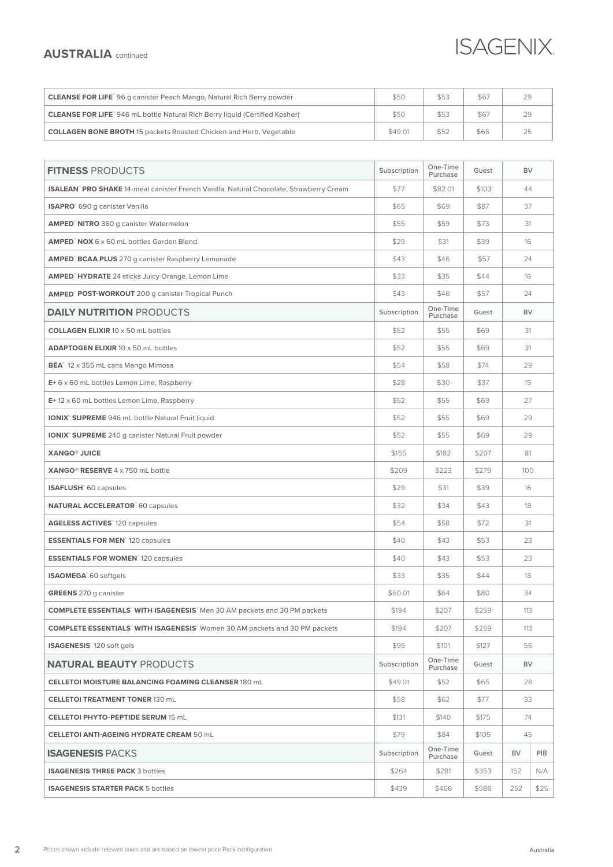## **ISAGENIX**

## **AUSTRALIA** continued

| <b>CLEANSE FOR LIFE</b> 96 g canister Peach Mango, Natural Rich Berry powder       | \$50    | \$53 | \$67 | 29 |
|------------------------------------------------------------------------------------|---------|------|------|----|
| <b>CLEANSE FOR LIFE</b> 946 mL bottle Natural Rich Berry liquid (Certified Kosher) | \$50    | \$53 | \$67 | 29 |
| <b>COLLAGEN BONE BROTH</b> 15 packets Roasted Chicken and Herb, Vegetable          | \$49.01 | \$52 | \$65 | 25 |

| <b>FITNESS PRODUCTS</b>                                                                       | Subscription | One-Time             | Guest | <b>BV</b> |      |
|-----------------------------------------------------------------------------------------------|--------------|----------------------|-------|-----------|------|
| <b>ISALEAN</b> PRO SHAKE 14-meal canister French Vanilla, Natural Chocolate, Strawberry Cream | \$77         | Purchase<br>\$82.01  | \$103 | 44        |      |
| <b>ISAPRO</b> 690 g canister Vanilla                                                          | \$65         | \$69                 | \$87  | 37        |      |
| <b>AMPED<sup>®</sup> NITRO</b> 360 g canister Watermelon                                      | \$55         | \$59                 | \$73  | 31        |      |
| <b>AMPED</b> NOX 6 x 60 mL bottles Garden Blend                                               | \$29         | \$31                 | \$39  | 16        |      |
| <b>AMPED<sup>®</sup> BCAA PLUS</b> 270 g canister Raspberry Lemonade                          | \$43         | \$46                 | \$57  | 24        |      |
| <b>AMPED<sup>®</sup> HYDRATE</b> 24 sticks Juicy Orange, Lemon Lime                           | \$33         | \$35                 | \$44  | 16        |      |
| <b>AMPED<sup>®</sup> POST-WORKOUT</b> 200 g canister Tropical Punch                           | \$43         | \$46                 | \$57  | 24        |      |
| <b>DAILY NUTRITION PRODUCTS</b>                                                               | Subscription | One-Time             | Guest | <b>BV</b> |      |
| <b>COLLAGEN ELIXIR 10 x 50 mL bottles</b>                                                     | \$52         | Purchase<br>\$55     | \$69  | 31        |      |
| <b>ADAPTOGEN ELIXIR 10 x 50 mL bottles</b>                                                    | \$52         | \$55                 | \$69  | 31        |      |
| <b>BĒA</b> <sup>*</sup> 12 x 355 mL cans Mango Mimosa                                         | \$54         | \$58                 | \$74  | 29        |      |
| E+6 x 60 mL bottles Lemon Lime, Raspberry                                                     | \$28         | \$30                 | \$37  | 15        |      |
| $E+12 \times 60$ mL bottles Lemon Lime, Raspberry                                             | \$52         | \$55                 | \$69  | 27        |      |
| <b>IONIX® SUPREME</b> 946 mL bottle Natural Fruit liquid                                      | \$52         | \$55                 | \$69  | 29        |      |
| <b>IONIX° SUPREME</b> 240 g canister Natural Fruit powder                                     | \$52         | \$55                 | \$69  | 29        |      |
| <b>XANGO® JUICE</b>                                                                           | \$155        | \$182                | \$207 | 81        |      |
| XANGO <sup>®</sup> RESERVE 4 x 750 mL bottle                                                  | \$209        | \$223                | \$279 | 100       |      |
| <b>ISAFLUSH</b> 60 capsules                                                                   | \$29         | \$31                 | \$39  | 16        |      |
| <b>NATURAL ACCELERATOR</b> 60 capsules                                                        | \$32         | \$34                 | \$43  | 18        |      |
| <b>AGELESS ACTIVES</b> 120 capsules                                                           | \$54         | \$58                 | \$72  | 31        |      |
| <b>ESSENTIALS FOR MEN</b> 120 capsules                                                        | \$40         | \$43                 | \$53  | 23        |      |
| <b>ESSENTIALS FOR WOMEN</b> 120 capsules                                                      | \$40         | \$43                 | \$53  | 23        |      |
| ISAOMEGA <sup>®</sup> 60 softgels                                                             | \$33         | \$35                 | \$44  | 18        |      |
| <b>GREENS</b> 270 g canister                                                                  | \$60.01      | \$64                 | \$80  | 34        |      |
| <b>COMPLETE ESSENTIALS WITH ISAGENESIS</b> Men 30 AM packets and 30 PM packets                | \$194        | \$207                | \$259 | 113       |      |
| <b>COMPLETE ESSENTIALS</b> WITH ISAGENESIS Women 30 AM packets and 30 PM packets              | \$194        | \$207                | \$259 | 113       |      |
| ISAGENESIS <sup>®</sup> 120 soft gels                                                         | \$95         | \$101                | \$127 | 56        |      |
| <b>NATURAL BEAUTY PRODUCTS</b>                                                                | Subscription | One-Time<br>Purchase | Guest | BV        |      |
| <b>CELLETOI MOISTURE BALANCING FOAMING CLEANSER 180 mL</b>                                    | \$49.01      | \$52                 | \$65  | 28        |      |
| <b>CELLETOI TREATMENT TONER 130 mL</b>                                                        | \$58         | \$62                 | \$77  | 33        |      |
| <b>CELLETOI PHYTO-PEPTIDE SERUM 15 mL</b>                                                     | \$131        | \$140                | \$175 | 74        |      |
| <b>CELLETOI ANTI-AGEING HYDRATE CREAM 50 mL</b>                                               | \$79         | \$84                 | \$105 | 45        |      |
| <b>ISAGENESIS PACKS</b>                                                                       | Subscription | One-Time<br>Purchase | Guest | <b>BV</b> | PIB  |
| <b>ISAGENESIS THREE PACK 3 bottles</b>                                                        | \$264        | \$281                | \$353 | 152       | N/A  |
| <b>ISAGENESIS STARTER PACK 5 bottles</b>                                                      | \$439        | \$466                | \$586 | 252       | \$25 |